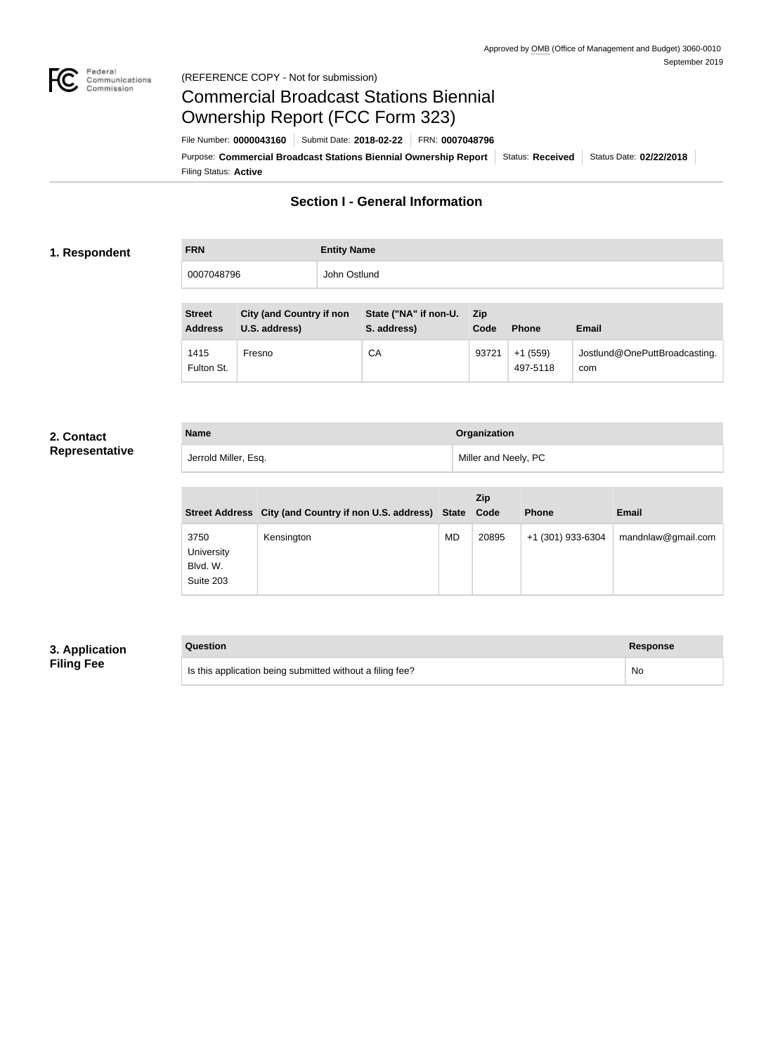

#### Federal<br>Communications<br>Commission (REFERENCE COPY - Not for submission)

## Commercial Broadcast Stations Biennial Ownership Report (FCC Form 323)

Filing Status: **Active** Purpose: Commercial Broadcast Stations Biennial Ownership Report Status: Received Status Date: 02/22/2018 File Number: **0000043160** Submit Date: **2018-02-22** FRN: **0007048796**

## **Section I - General Information**

#### **1. Respondent**

# **FRN Entity Name** 0007048796 John Ostlund

| <b>Street</b><br><b>Address</b> | <b>City (and Country if non</b><br>U.S. address) | State ("NA" if non-U.<br>S. address) | <b>Zip</b><br>Code | <b>Phone</b>          | <b>Email</b>                         |
|---------------------------------|--------------------------------------------------|--------------------------------------|--------------------|-----------------------|--------------------------------------|
| 1415<br>Fulton St.              | Fresno                                           | CA                                   | 93721              | $+1(559)$<br>497-5118 | Jostlund@OnePuttBroadcasting.<br>com |

#### **2. Contact Representative**

| <b>Name</b>          | Organization         |
|----------------------|----------------------|
| Jerrold Miller, Esq. | Miller and Neely, PC |

|                                             | Street Address City (and Country if non U.S. address) State |           | Zip<br>Code | <b>Phone</b>      | <b>Email</b>       |
|---------------------------------------------|-------------------------------------------------------------|-----------|-------------|-------------------|--------------------|
| 3750<br>University<br>Blvd. W.<br>Suite 203 | Kensington                                                  | <b>MD</b> | 20895       | +1 (301) 933-6304 | mandnlaw@gmail.com |

## **3. Application Filing Fee**

## **Question Response** Is this application being submitted without a filing fee? No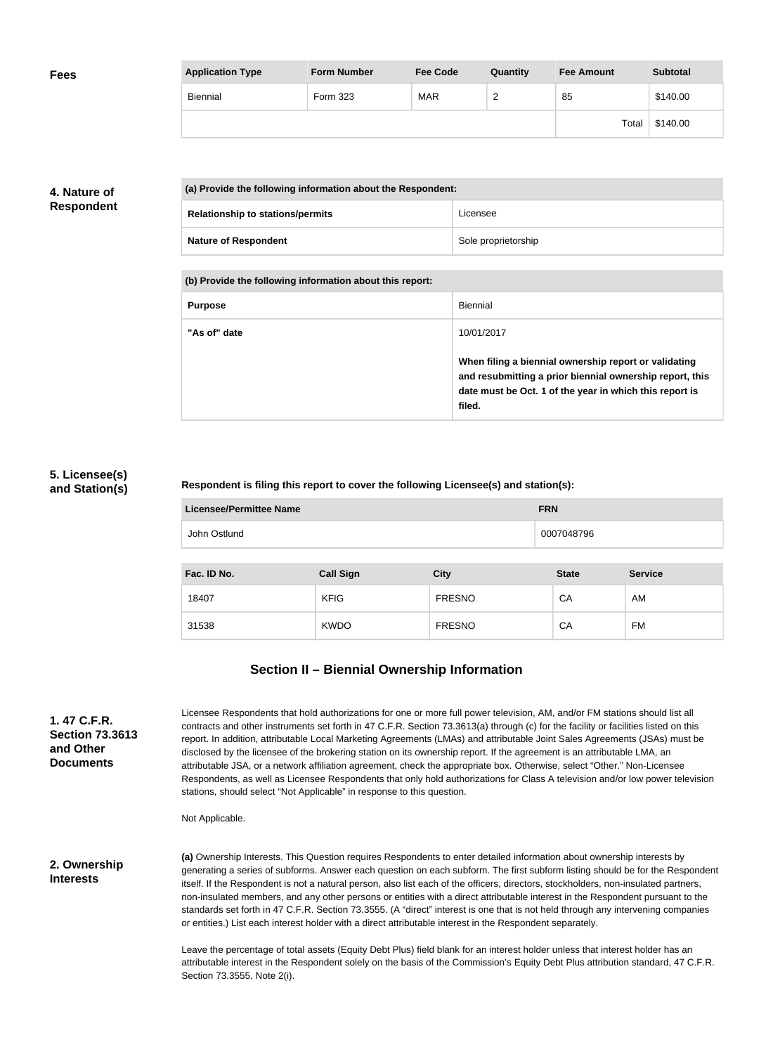| <b>Fees</b> | <b>Application Type</b> | <b>Form Number</b> | <b>Fee Code</b> | Quantity      | <b>Fee Amount</b> | <b>Subtotal</b> |
|-------------|-------------------------|--------------------|-----------------|---------------|-------------------|-----------------|
|             | Biennial                | Form 323           | <b>MAR</b>      | ີ<br><u>_</u> | 85                | \$140.00        |
|             |                         |                    |                 |               | Total             | \$140.00        |

## **4. Nature of Respondent**

| (a) Provide the following information about the Respondent: |                     |  |
|-------------------------------------------------------------|---------------------|--|
| <b>Relationship to stations/permits</b>                     | Licensee            |  |
| <b>Nature of Respondent</b>                                 | Sole proprietorship |  |

**(b) Provide the following information about this report:**

| <b>Purpose</b> | Biennial                                                                                                                                                                               |
|----------------|----------------------------------------------------------------------------------------------------------------------------------------------------------------------------------------|
| "As of" date   | 10/01/2017                                                                                                                                                                             |
|                | When filing a biennial ownership report or validating<br>and resubmitting a prior biennial ownership report, this<br>date must be Oct. 1 of the year in which this report is<br>filed. |

#### **5. Licensee(s) and Station(s)**

#### **Respondent is filing this report to cover the following Licensee(s) and station(s):**

| Licensee/Permittee Name | <b>FRN</b> |
|-------------------------|------------|
| John Ostlund            | 0007048796 |
|                         |            |

| Fac. ID No. | <b>Call Sign</b> | <b>City</b>   | <b>State</b> | <b>Service</b> |
|-------------|------------------|---------------|--------------|----------------|
| 18407       | <b>KFIG</b>      | <b>FRESNO</b> | CA           | AM             |
| 31538       | <b>KWDO</b>      | <b>FRESNO</b> | CA           | <b>FM</b>      |

## **Section II – Biennial Ownership Information**

| 1. 47 C.F.R.           |  |  |
|------------------------|--|--|
| <b>Section 73,3613</b> |  |  |
| and Other              |  |  |
| <b>Documents</b>       |  |  |

Licensee Respondents that hold authorizations for one or more full power television, AM, and/or FM stations should list all contracts and other instruments set forth in 47 C.F.R. Section 73.3613(a) through (c) for the facility or facilities listed on this report. In addition, attributable Local Marketing Agreements (LMAs) and attributable Joint Sales Agreements (JSAs) must be disclosed by the licensee of the brokering station on its ownership report. If the agreement is an attributable LMA, an attributable JSA, or a network affiliation agreement, check the appropriate box. Otherwise, select "Other." Non-Licensee Respondents, as well as Licensee Respondents that only hold authorizations for Class A television and/or low power television stations, should select "Not Applicable" in response to this question.

Not Applicable.

**2. Ownership Interests**

**(a)** Ownership Interests. This Question requires Respondents to enter detailed information about ownership interests by generating a series of subforms. Answer each question on each subform. The first subform listing should be for the Respondent itself. If the Respondent is not a natural person, also list each of the officers, directors, stockholders, non-insulated partners, non-insulated members, and any other persons or entities with a direct attributable interest in the Respondent pursuant to the standards set forth in 47 C.F.R. Section 73.3555. (A "direct" interest is one that is not held through any intervening companies or entities.) List each interest holder with a direct attributable interest in the Respondent separately.

Leave the percentage of total assets (Equity Debt Plus) field blank for an interest holder unless that interest holder has an attributable interest in the Respondent solely on the basis of the Commission's Equity Debt Plus attribution standard, 47 C.F.R. Section 73.3555, Note 2(i).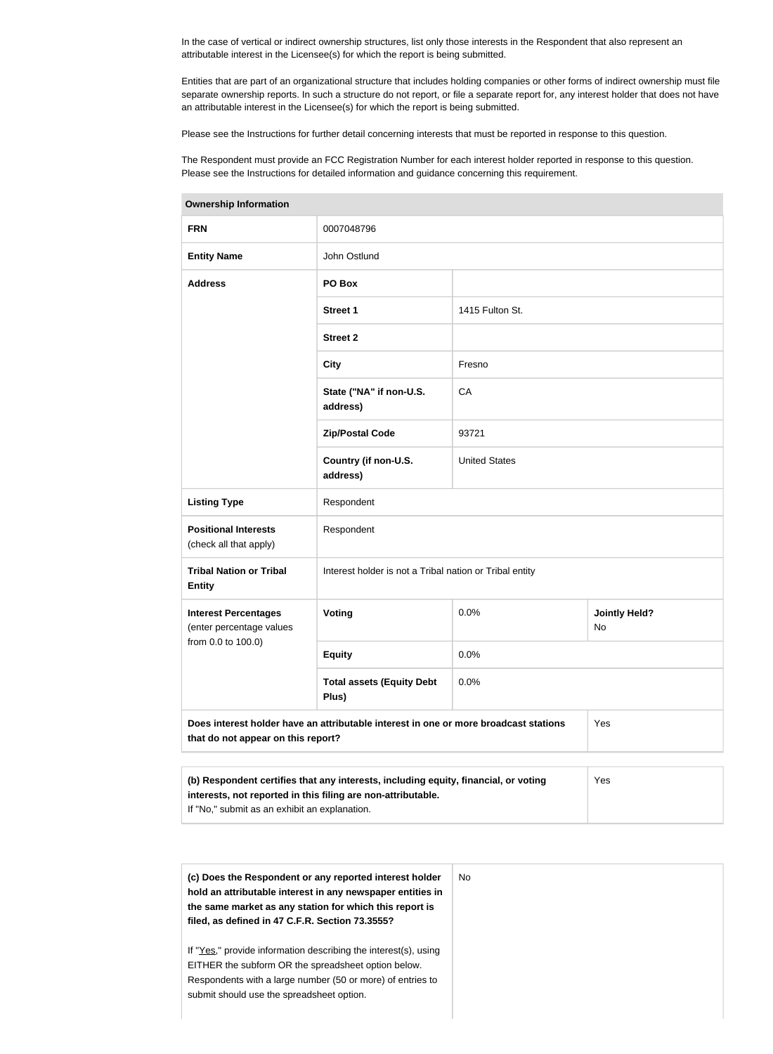In the case of vertical or indirect ownership structures, list only those interests in the Respondent that also represent an attributable interest in the Licensee(s) for which the report is being submitted.

Entities that are part of an organizational structure that includes holding companies or other forms of indirect ownership must file separate ownership reports. In such a structure do not report, or file a separate report for, any interest holder that does not have an attributable interest in the Licensee(s) for which the report is being submitted.

Please see the Instructions for further detail concerning interests that must be reported in response to this question.

The Respondent must provide an FCC Registration Number for each interest holder reported in response to this question. Please see the Instructions for detailed information and guidance concerning this requirement.

| Ownership information                                   |                                                                                      |                      |                            |  |  |
|---------------------------------------------------------|--------------------------------------------------------------------------------------|----------------------|----------------------------|--|--|
| <b>FRN</b>                                              | 0007048796                                                                           |                      |                            |  |  |
| <b>Entity Name</b>                                      | John Ostlund                                                                         |                      |                            |  |  |
| <b>Address</b>                                          | PO Box                                                                               |                      |                            |  |  |
|                                                         | Street 1                                                                             | 1415 Fulton St.      |                            |  |  |
|                                                         | <b>Street 2</b>                                                                      |                      |                            |  |  |
|                                                         | <b>City</b>                                                                          | Fresno               |                            |  |  |
|                                                         | State ("NA" if non-U.S.<br>address)                                                  | CA                   | 93721                      |  |  |
|                                                         | <b>Zip/Postal Code</b>                                                               |                      |                            |  |  |
|                                                         | Country (if non-U.S.<br>address)                                                     | <b>United States</b> |                            |  |  |
| <b>Listing Type</b>                                     | Respondent                                                                           |                      |                            |  |  |
| <b>Positional Interests</b><br>(check all that apply)   | Respondent                                                                           |                      |                            |  |  |
| <b>Tribal Nation or Tribal</b><br><b>Entity</b>         | Interest holder is not a Tribal nation or Tribal entity                              |                      |                            |  |  |
| <b>Interest Percentages</b><br>(enter percentage values | <b>Voting</b>                                                                        | 0.0%                 | <b>Jointly Held?</b><br>No |  |  |
| from 0.0 to 100.0)                                      | <b>Equity</b>                                                                        | 0.0%                 |                            |  |  |
|                                                         | <b>Total assets (Equity Debt</b><br>Plus)                                            | 0.0%                 |                            |  |  |
| that do not appear on this report?                      | Does interest holder have an attributable interest in one or more broadcast stations |                      | Yes                        |  |  |
|                                                         |                                                                                      |                      |                            |  |  |

| <b>Ownership Information</b> |
|------------------------------|

| (b) Respondent certifies that any interests, including equity, financial, or voting | <b>Yes</b> |
|-------------------------------------------------------------------------------------|------------|
| interests, not reported in this filing are non-attributable.                        |            |
| If "No," submit as an exhibit an explanation.                                       |            |

| (c) Does the Respondent or any reported interest holder<br>hold an attributable interest in any newspaper entities in<br>the same market as any station for which this report is | No. |
|----------------------------------------------------------------------------------------------------------------------------------------------------------------------------------|-----|
| filed, as defined in 47 C.F.R. Section 73.3555?                                                                                                                                  |     |
| If "Yes," provide information describing the interest(s), using                                                                                                                  |     |
| EITHER the subform OR the spreadsheet option below.                                                                                                                              |     |
| Respondents with a large number (50 or more) of entries to                                                                                                                       |     |
| submit should use the spreadsheet option.                                                                                                                                        |     |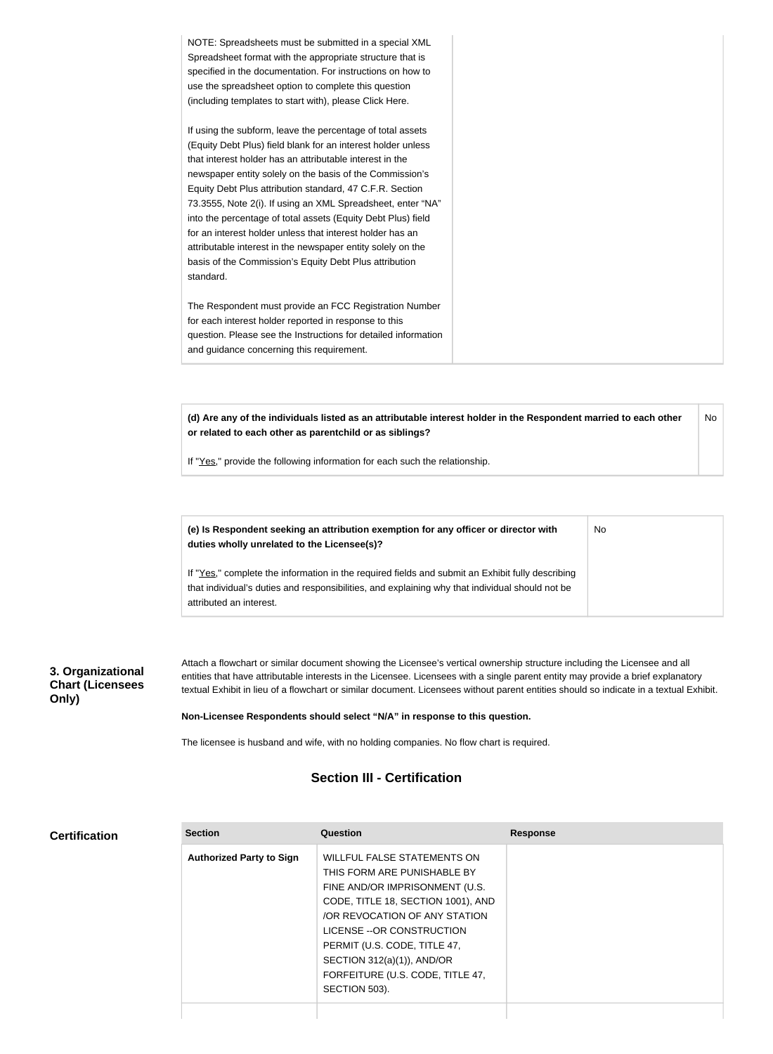**(d) Are any of the individuals listed as an attributable interest holder in the Respondent married to each other or related to each other as parentchild or as siblings?** No

No

If "Yes," provide the following information for each such the relationship.

**(e) Is Respondent seeking an attribution exemption for any officer or director with duties wholly unrelated to the Licensee(s)?**

If "Yes," complete the information in the required fields and submit an Exhibit fully describing that individual's duties and responsibilities, and explaining why that individual should not be attributed an interest.

### **3. Organizational Chart (Licensees Only)**

Attach a flowchart or similar document showing the Licensee's vertical ownership structure including the Licensee and all entities that have attributable interests in the Licensee. Licensees with a single parent entity may provide a brief explanatory textual Exhibit in lieu of a flowchart or similar document. Licensees without parent entities should so indicate in a textual Exhibit.

**Non-Licensee Respondents should select "N/A" in response to this question.**

The licensee is husband and wife, with no holding companies. No flow chart is required.

### **Section III - Certification**

#### **Certification**

| <b>Section</b>                  | Question                           | <b>Response</b> |
|---------------------------------|------------------------------------|-----------------|
| <b>Authorized Party to Sign</b> | WILLFUL FALSE STATEMENTS ON        |                 |
|                                 | THIS FORM ARE PUNISHABLE BY        |                 |
|                                 | FINE AND/OR IMPRISONMENT (U.S.     |                 |
|                                 | CODE, TITLE 18, SECTION 1001), AND |                 |
|                                 | OR REVOCATION OF ANY STATION       |                 |
|                                 | LICENSE -- OR CONSTRUCTION         |                 |
|                                 | PERMIT (U.S. CODE, TITLE 47,       |                 |
|                                 | SECTION $312(a)(1)$ ), AND/OR      |                 |
|                                 | FORFEITURE (U.S. CODE, TITLE 47,   |                 |
|                                 | SECTION 503).                      |                 |